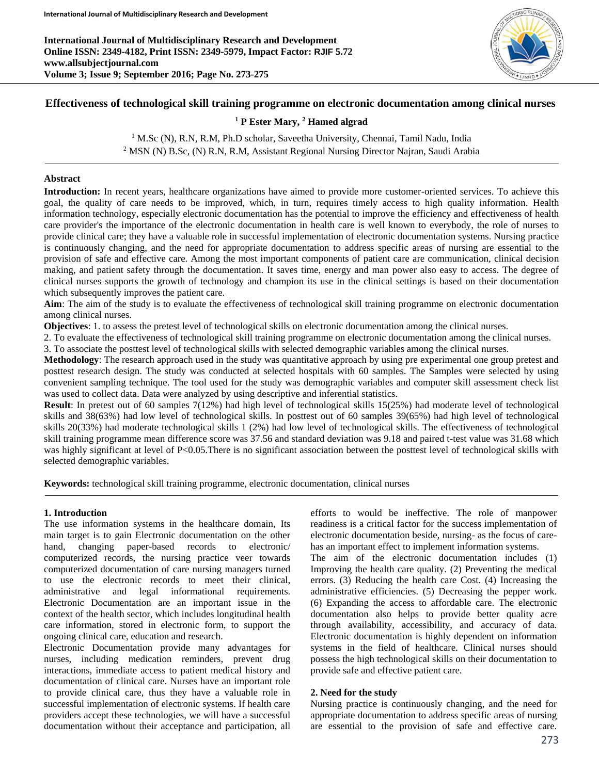**International Journal of Multidisciplinary Research and Development Online ISSN: 2349-4182, Print ISSN: 2349-5979, Impact Factor: RJIF 5.72 www.allsubjectjournal.com Volume 3; Issue 9; September 2016; Page No. 273-275**



# **Effectiveness of technological skill training programme on electronic documentation among clinical nurses**

#### **<sup>1</sup> P Ester Mary, <sup>2</sup> Hamed algrad**

<sup>1</sup> M.Sc (N), R.N, R.M, Ph.D scholar, Saveetha University, Chennai, Tamil Nadu, India <sup>2</sup> MSN (N) B.Sc, (N) R.N, R.M, Assistant Regional Nursing Director Najran, Saudi Arabia

#### **Abstract**

**Introduction:** In recent years, healthcare organizations have aimed to provide more customer-oriented services. To achieve this goal, the quality of care needs to be improved, which, in turn, requires timely access to high quality information. Health information technology, especially electronic documentation has the potential to improve the efficiency and effectiveness of health care provider's the importance of the electronic documentation in health care is well known to everybody, the role of nurses to provide clinical care; they have a valuable role in successful implementation of electronic documentation systems. Nursing practice is continuously changing, and the need for appropriate documentation to address specific areas of nursing are essential to the provision of safe and effective care. Among the most important components of patient care are communication, clinical decision making, and patient safety through the documentation. It saves time, energy and man power also easy to access. The degree of clinical nurses supports the growth of technology and champion its use in the clinical settings is based on their documentation which subsequently improves the patient care.

Aim: The aim of the study is to evaluate the effectiveness of technological skill training programme on electronic documentation among clinical nurses.

**Objectives**: 1. to assess the pretest level of technological skills on electronic documentation among the clinical nurses.

2. To evaluate the effectiveness of technological skill training programme on electronic documentation among the clinical nurses.

3. To associate the posttest level of technological skills with selected demographic variables among the clinical nurses.

**Methodology**: The research approach used in the study was quantitative approach by using pre experimental one group pretest and posttest research design. The study was conducted at selected hospitals with 60 samples. The Samples were selected by using convenient sampling technique. The tool used for the study was demographic variables and computer skill assessment check list was used to collect data. Data were analyzed by using descriptive and inferential statistics.

**Result**: In pretest out of 60 samples 7(12%) had high level of technological skills 15(25%) had moderate level of technological skills and 38(63%) had low level of technological skills. In posttest out of 60 samples 39(65%) had high level of technological skills 20(33%) had moderate technological skills 1 (2%) had low level of technological skills. The effectiveness of technological skill training programme mean difference score was 37.56 and standard deviation was 9.18 and paired t-test value was 31.68 which was highly significant at level of P<0.05.There is no significant association between the posttest level of technological skills with selected demographic variables.

**Keywords:** technological skill training programme, electronic documentation, clinical nurses

#### **1. Introduction**

The use information systems in the healthcare domain, Its main target is to gain Electronic documentation on the other hand, changing paper-based records to electronic/ computerized records, the nursing practice veer towards computerized documentation of care nursing managers turned to use the electronic records to meet their clinical, administrative and legal informational requirements. Electronic Documentation are an important issue in the context of the health sector, which includes longitudinal health care information, stored in electronic form, to support the ongoing clinical care, education and research.

Electronic Documentation provide many advantages for nurses, including medication reminders, prevent drug interactions, immediate access to patient medical history and documentation of clinical care. Nurses have an important role to provide clinical care, thus they have a valuable role in successful implementation of electronic systems. If health care providers accept these technologies, we will have a successful documentation without their acceptance and participation, all efforts to would be ineffective. The role of manpower readiness is a critical factor for the success implementation of electronic documentation beside, nursing- as the focus of carehas an important effect to implement information systems.

The aim of the electronic documentation includes (1) Improving the health care quality. (2) Preventing the medical errors. (3) Reducing the health care Cost. (4) Increasing the administrative efficiencies. (5) Decreasing the pepper work. (6) Expanding the access to affordable care. The electronic documentation also helps to provide better quality acre through availability, accessibility, and accuracy of data. Electronic documentation is highly dependent on information systems in the field of healthcare. Clinical nurses should possess the high technological skills on their documentation to provide safe and effective patient care.

#### **2. Need for the study**

Nursing practice is continuously changing, and the need for appropriate documentation to address specific areas of nursing are essential to the provision of safe and effective care.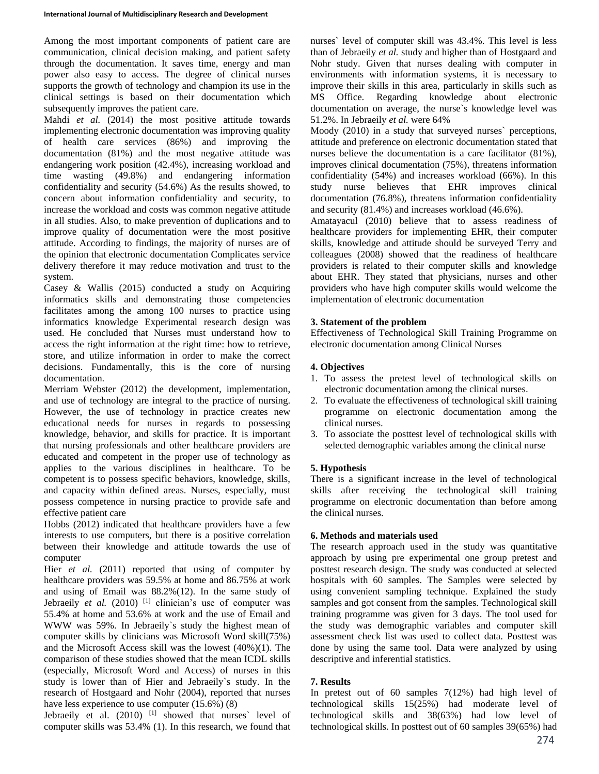Among the most important components of patient care are communication, clinical decision making, and patient safety through the documentation. It saves time, energy and man power also easy to access. The degree of clinical nurses supports the growth of technology and champion its use in the clinical settings is based on their documentation which subsequently improves the patient care.

Mahdi *et al.* (2014) the most positive attitude towards implementing electronic documentation was improving quality of health care services (86%) and improving the documentation (81%) and the most negative attitude was endangering work position (42.4%), increasing workload and time wasting (49.8%) and endangering information confidentiality and security (54.6%) As the results showed, to concern about information confidentiality and security, to increase the workload and costs was common negative attitude in all studies. Also, to make prevention of duplications and to improve quality of documentation were the most positive attitude. According to findings, the majority of nurses are of the opinion that electronic documentation Complicates service delivery therefore it may reduce motivation and trust to the system.

Casey & Wallis (2015) conducted a study on Acquiring informatics skills and demonstrating those competencies facilitates among the among 100 nurses to practice using informatics knowledge Experimental research design was used. He concluded that Nurses must understand how to access the right information at the right time: how to retrieve, store, and utilize information in order to make the correct decisions. Fundamentally, this is the core of nursing documentation.

Merriam Webster (2012) the development, implementation, and use of technology are integral to the practice of nursing. However, the use of technology in practice creates new educational needs for nurses in regards to possessing knowledge, behavior, and skills for practice. It is important that nursing professionals and other healthcare providers are educated and competent in the proper use of technology as applies to the various disciplines in healthcare. To be competent is to possess specific behaviors, knowledge, skills, and capacity within defined areas. Nurses, especially, must possess competence in nursing practice to provide safe and effective patient care

Hobbs (2012) indicated that healthcare providers have a few interests to use computers, but there is a positive correlation between their knowledge and attitude towards the use of computer

Hier *et al.* (2011) reported that using of computer by healthcare providers was 59.5% at home and 86.75% at work and using of Email was 88.2%(12). In the same study of Jebraeily *et al.* (2010) <sup>[1]</sup> clinician's use of computer was 55.4% at home and 53.6% at work and the use of Email and WWW was 59%. In Jebraeily`s study the highest mean of computer skills by clinicians was Microsoft Word skill(75%) and the Microsoft Access skill was the lowest (40%)(1). The comparison of these studies showed that the mean ICDL skills (especially, Microsoft Word and Access) of nurses in this study is lower than of Hier and Jebraeily`s study. In the research of Hostgaard and Nohr (2004), reported that nurses have less experience to use computer (15.6%) (8)

Jebraeily et al. (2010) <sup>[1]</sup> showed that nurses` level of computer skills was 53.4% (1). In this research, we found that

nurses` level of computer skill was 43.4%. This level is less than of Jebraeily *et al.* study and higher than of Hostgaard and Nohr study. Given that nurses dealing with computer in environments with information systems, it is necessary to improve their skills in this area, particularly in skills such as MS Office. Regarding knowledge about electronic documentation on average, the nurse`s knowledge level was 51.2%. In Jebraeily *et al.* were 64%

Moody (2010) in a study that surveyed nurses` perceptions, attitude and preference on electronic documentation stated that nurses believe the documentation is a care facilitator (81%), improves clinical documentation (75%), threatens information confidentiality (54%) and increases workload (66%). In this study nurse believes that EHR improves clinical documentation (76.8%), threatens information confidentiality and security (81.4%) and increases workload (46.6%).

Amatayacul (2010) believe that to assess readiness of healthcare providers for implementing EHR, their computer skills, knowledge and attitude should be surveyed Terry and colleagues (2008) showed that the readiness of healthcare providers is related to their computer skills and knowledge about EHR. They stated that physicians, nurses and other providers who have high computer skills would welcome the implementation of electronic documentation

## **3. Statement of the problem**

Effectiveness of Technological Skill Training Programme on electronic documentation among Clinical Nurses

### **4. Objectives**

- 1. To assess the pretest level of technological skills on electronic documentation among the clinical nurses.
- 2. To evaluate the effectiveness of technological skill training programme on electronic documentation among the clinical nurses.
- 3. To associate the posttest level of technological skills with selected demographic variables among the clinical nurse

### **5. Hypothesis**

There is a significant increase in the level of technological skills after receiving the technological skill training programme on electronic documentation than before among the clinical nurses.

### **6. Methods and materials used**

The research approach used in the study was quantitative approach by using pre experimental one group pretest and posttest research design. The study was conducted at selected hospitals with 60 samples. The Samples were selected by using convenient sampling technique. Explained the study samples and got consent from the samples. Technological skill training programme was given for 3 days. The tool used for the study was demographic variables and computer skill assessment check list was used to collect data. Posttest was done by using the same tool. Data were analyzed by using descriptive and inferential statistics.

### **7. Results**

In pretest out of 60 samples 7(12%) had high level of technological skills 15(25%) had moderate level of technological skills and 38(63%) had low level of technological skills. In posttest out of 60 samples 39(65%) had